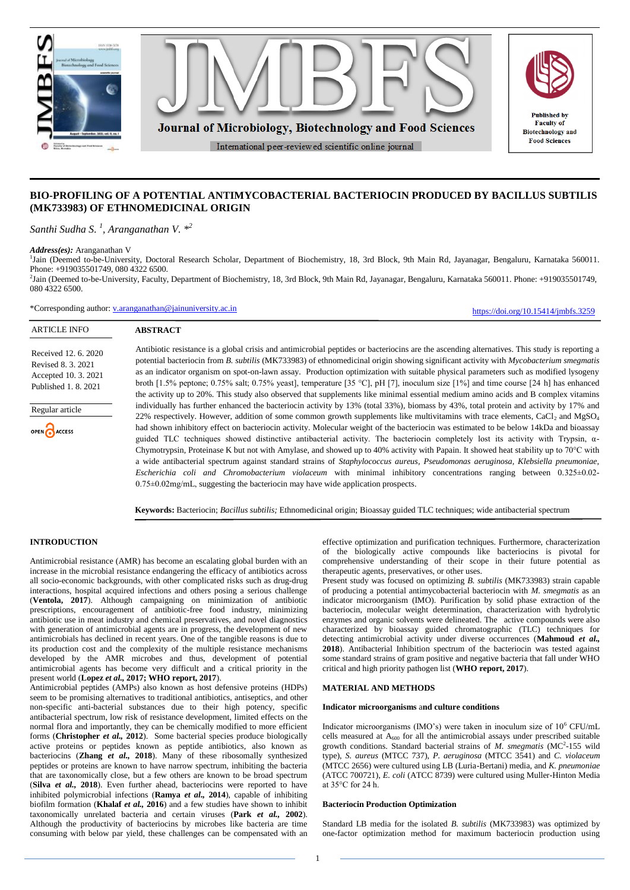

# **BIO-PROFILING OF A POTENTIAL ANTIMYCOBACTERIAL BACTERIOCIN PRODUCED BY BACILLUS SUBTILIS (MK733983) OF ETHNOMEDICINAL ORIGIN**

*Santhi Sudha S. 1 , Aranganathan V. \* 2*

*Address(es):* Aranganathan V

<sup>1</sup>Jain (Deemed to-be-University, Doctoral Research Scholar, Department of Biochemistry, 18, 3rd Block, 9th Main Rd, Jayanagar, Bengaluru, Karnataka 560011. Phone: +919035501749, 080 4322 6500.

2 Jain (Deemed to-be-University, Faculty, Department of Biochemistry, 18, 3rd Block, 9th Main Rd, Jayanagar, Bengaluru, Karnataka 560011. Phone: +919035501749, 080 4322 6500.

\*Corresponding author: [v.aranganathan@jainuniversity.ac.in](mailto:v.aranganathan@jainuniversity.ac.in)

**ABSTRACT**

<https://doi.org/10.15414/jmbfs.3259>

#### ARTICLE INFO

Received 12. 6. 2020 Revised 8. 3. 2021 Accepted 10. 3. 2021 Published 1. 8. 2021



Antibiotic resistance is a global crisis and antimicrobial peptides or bacteriocins are the ascending alternatives. This study is reporting a potential bacteriocin from *B. subtilis* (MK733983) of ethnomedicinal origin showing significant activity with *Mycobacterium smegmatis* as an indicator organism on spot-on-lawn assay. Production optimization with suitable physical parameters such as modified lysogeny broth [1.5% peptone; 0.75% salt; 0.75% yeast], temperature [35 °C], pH [7], inoculum size [1%] and time course [24 h] has enhanced the activity up to 20%. This study also observed that supplements like minimal essential medium amino acids and B complex vitamins individually has further enhanced the bacteriocin activity by 13% (total 33%), biomass by 43%, total protein and activity by 17% and 22% respectively. However, addition of some common growth supplements like multivitamins with trace elements, CaCl<sub>2</sub> and MgSO<sub>4</sub> had shown inhibitory effect on bacteriocin activity. Molecular weight of the bacteriocin was estimated to be below 14kDa and bioassay guided TLC techniques showed distinctive antibacterial activity. The bacteriocin completely lost its activity with Trypsin, α-Chymotrypsin, Proteinase K but not with Amylase, and showed up to 40% activity with Papain. It showed heat stability up to 70°C with a wide antibacterial spectrum against standard strains of *Staphylococcus aureus, Pseudomonas aeruginosa, Klebsiella pneumoniae, Escherichia coli and Chromobacterium violaceum* with minimal inhibitory concentrations ranging between 0.325±0.02-  $0.75\pm0.02$  mg/mL, suggesting the bacteriocin may have wide application prospects.

**Keywords:** Bacteriocin; *Bacillus subtilis;* Ethnomedicinal origin; Bioassay guided TLC techniques; wide antibacterial spectrum

# **INTRODUCTION**

Antimicrobial resistance (AMR) has become an escalating global burden with an increase in the microbial resistance endangering the efficacy of antibiotics across all socio-economic backgrounds, with other complicated risks such as drug-drug interactions, hospital acquired infections and others posing a serious challenge (**Ventola, 2017**). Although campaigning on minimization of antibiotic prescriptions, encouragement of antibiotic-free food industry, minimizing antibiotic use in meat industry and chemical preservatives, and novel diagnostics with generation of antimicrobial agents are in progress, the development of new antimicrobials has declined in recent years. One of the tangible reasons is due to its production cost and the complexity of the multiple resistance mechanisms developed by the AMR microbes and thus, development of potential antimicrobial agents has become very difficult and a critical priority in the present world (**Lopez** *et al.,* **2017; WHO report, 2017**).

Antimicrobial peptides (AMPs) also known as host defensive proteins (HDPs) seem to be promising alternatives to traditional antibiotics, antiseptics, and other non-specific anti-bacterial substances due to their high potency, specific antibacterial spectrum, low risk of resistance development, limited effects on the normal flora and importantly, they can be chemically modified to more efficient forms (**Christopher** *et al.,* **2012**). Some bacterial species produce biologically active proteins or peptides known as peptide antibiotics, also known as bacteriocins (**Zhang** *et al.,* **2018**). Many of these ribosomally synthesized peptides or proteins are known to have narrow spectrum, inhibiting the bacteria that are taxonomically close, but a few others are known to be broad spectrum (**Silva** *et al.,* **2018**). Even further ahead, bacteriocins were reported to have inhibited polymicrobial infections (**Ramya** *et al.,* **2014**), capable of inhibiting biofilm formation (**Khalaf** *et al.,* **2016**) and a few studies have shown to inhibit taxonomically unrelated bacteria and certain viruses (**Park** *et al.,* **2002**). Although the productivity of bacteriocins by microbes like bacteria are time consuming with below par yield, these challenges can be compensated with an

effective optimization and purification techniques. Furthermore, characterization of the biologically active compounds like bacteriocins is pivotal for comprehensive understanding of their scope in their future potential as therapeutic agents, preservatives, or other uses.

Present study was focused on optimizing *B. subtilis* (MK733983) strain capable of producing a potential antimycobacterial bacteriocin with *M. smegmatis* as an indicator microorganism (IMO). Purification by solid phase extraction of the bacteriocin, molecular weight determination, characterization with hydrolytic enzymes and organic solvents were delineated. The active compounds were also characterized by bioassay guided chromatographic (TLC) techniques for detecting antimicrobial activity under diverse occurrences (**Mahmoud** *et al.,*  **2018**). Antibacterial Inhibition spectrum of the bacteriocin was tested against some standard strains of gram positive and negative bacteria that fall under WHO critical and high priority pathogen list (**WHO report, 2017**).

## **MATERIAL AND METHODS**

#### **Indicator microorganisms** a**nd culture conditions**

Indicator microorganisms (IMO's) were taken in inoculum size of 10<sup>6</sup> CFU/mL cells measured at  $A_{600}$  for all the antimicrobial assays under prescribed suitable growth conditions. Standard bacterial strains of *M. smegmatis* (MC<sup>2</sup>-155 wild type), *S. aureus* (MTCC 737), *P. aeruginosa* (MTCC 3541) and *C. violaceum* (MTCC 2656) were cultured using LB (Luria-Bertani) media, and *K. pneumoniae* (ATCC 700721), *E. coli* (ATCC 8739) were cultured using Muller-Hinton Media at 35°C for 24 h.

### **Bacteriocin Production Optimization**

Standard LB media for the isolated *B. subtilis* (MK733983) was optimized by one-factor optimization method for maximum bacteriocin production using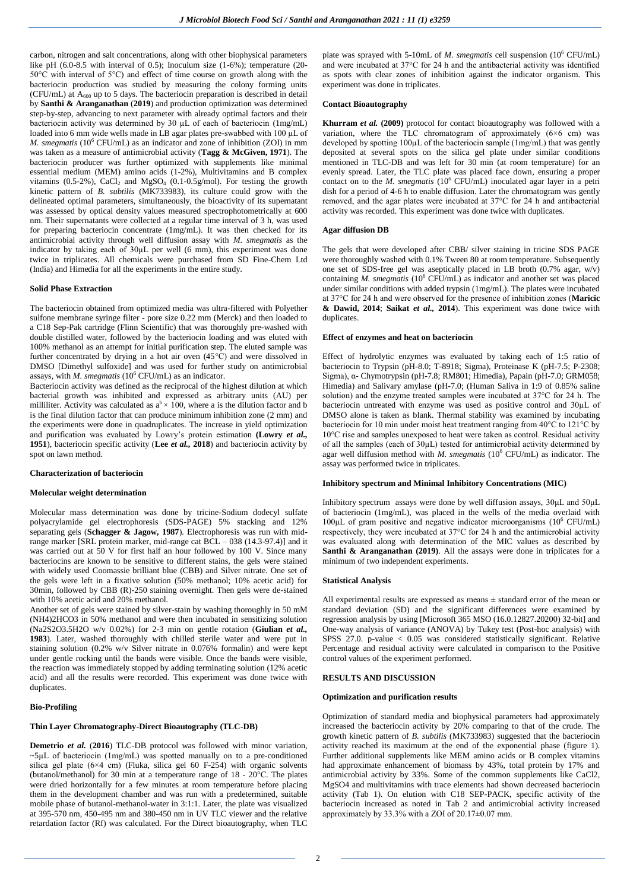carbon, nitrogen and salt concentrations, along with other biophysical parameters like pH (6.0-8.5 with interval of 0.5); Inoculum size (1-6%); temperature (20-50°C with interval of 5°C) and effect of time course on growth along with the bacteriocin production was studied by measuring the colony forming units (CFU/mL) at  $A_{600}$  up to 5 days. The bacteriocin preparation is described in detail by **Santhi & Aranganathan** (**2019**) and production optimization was determined step-by-step, advancing to next parameter with already optimal factors and their bacteriocin activity was determined by 30 µL of each of bacteriocin (1mg/mL) loaded into 6 mm wide wells made in LB agar plates pre-swabbed with 100 µL of *M. smegmatis* ( $10^6$  CFU/mL) as an indicator and zone of inhibition (ZOI) in mm was taken as a measure of antimicrobial activity (**Tagg & McGiven, 1971**). The bacteriocin producer was further optimized with supplements like minimal essential medium (MEM) amino acids (1-2%), Multivitamins and B complex vitamins (0.5-2%), CaCl<sub>2</sub> and MgSO<sub>4</sub> (0.1-0.5g/mol). For testing the growth kinetic pattern of *B. subtilis* (MK733983), its culture could grow with the delineated optimal parameters, simultaneously, the bioactivity of its supernatant was assessed by optical density values measured spectrophotometrically at 600 nm. Their supernatants were collected at a regular time interval of 3 h, was used for preparing bacteriocin concentrate (1mg/mL). It was then checked for its antimicrobial activity through well diffusion assay with *M. smegmatis* as the indicator by taking each of 30µL per well (6 mm), this experiment was done twice in triplicates. All chemicals were purchased from SD Fine-Chem Ltd (India) and Himedia for all the experiments in the entire study.

### **Solid Phase Extraction**

The bacteriocin obtained from optimized media was ultra-filtered with Polyether sulfone membrane syringe filter - pore size 0.22 mm (Merck) and then loaded to a C18 Sep-Pak cartridge (Flinn Scientific) that was thoroughly pre-washed with double distilled water, followed by the bacteriocin loading and was eluted with 100% methanol as an attempt for initial purification step. The eluted sample was further concentrated by drying in a hot air oven  $(45^{\circ}\text{C})$  and were dissolved in DMSO [Dimethyl sulfoxide] and was used for further study on antimicrobial assays, with *M. smegmatis* (10<sup>6</sup> CFU/mL) as an indicator.

Bacteriocin activity was defined as the reciprocal of the highest dilution at which bacterial growth was inhibited and expressed as arbitrary units (AU) per milliliter. Activity was calculated as  $a^b \times 100$ , where a is the dilution factor and b is the final dilution factor that can produce minimum inhibition zone (2 mm) and the experiments were done in quadruplicates. The increase in yield optimization and purification was evaluated by Lowry's protein estimation **(Lowry** *et al.,*  **1951**), bacteriocin specific activity (**Lee** *et al.,* **2018**) and bacteriocin activity by spot on lawn method.

#### **Characterization of bacteriocin**

### **Molecular weight determination**

Molecular mass determination was done by tricine-Sodium dodecyl sulfate polyacrylamide gel electrophoresis (SDS-PAGE) 5% stacking and 12% separating gels (**Schagger & Jagow***,* **1987**). Electrophoresis was run with midrange marker [SRL protein marker, mid-range cat BCL – 038 (14.3-97.4)] and it was carried out at 50 V for first half an hour followed by 100 V. Since many bacteriocins are known to be sensitive to different stains, the gels were stained with widely used Coomassie brilliant blue (CBB) and Silver nitrate. One set of the gels were left in a fixative solution (50% methanol; 10% acetic acid) for 30min, followed by CBB (R)-250 staining overnight. Then gels were de-stained with 10% acetic acid and 20% methanol.

Another set of gels were stained by silver-stain by washing thoroughly in 50 mM (NH4)2HCO3 in 50% methanol and were then incubated in sensitizing solution (Na2S2O3.5H2O w/v 0.02%) for 2-3 min on gentle rotation (**Giulian** *et al.,*  **1983**). Later, washed thoroughly with chilled sterile water and were put in staining solution (0.2% w/v Silver nitrate in 0.076% formalin) and were kept under gentle rocking until the bands were visible. Once the bands were visible, the reaction was immediately stopped by adding terminating solution (12% acetic acid) and all the results were recorded. This experiment was done twice with duplicates.

### **Bio-Profiling**

## **Thin Layer Chromatography-Direct Bioautography (TLC-DB)**

**Demetrio** *et al.* (**2016**) TLC-DB protocol was followed with minor variation, ~5µL of bacteriocin (1mg/mL) was spotted manually on to a pre-conditioned silica gel plate  $(6\times4 \text{ cm})$  (Fluka, silica gel 60 F-254) with organic solvents (butanol/methanol) for 30 min at a temperature range of 18 - 20°C. The plates were dried horizontally for a few minutes at room temperature before placing them in the development chamber and was run with a predetermined, suitable mobile phase of butanol-methanol-water in 3:1:1. Later, the plate was visualized at 395-570 nm, 450-495 nm and 380-450 nm in UV TLC viewer and the relative retardation factor (Rf) was calculated. For the Direct bioautography, when TLC

plate was sprayed with 5-10mL of *M. smegmatis* cell suspension (10<sup>6</sup> CFU/mL) and were incubated at 37°C for 24 h and the antibacterial activity was identified as spots with clear zones of inhibition against the indicator organism. This experiment was done in triplicates.

## **Contact Bioautography**

**Khurram** *et al.* **(2009)** protocol for contact bioautography was followed with a variation, where the TLC chromatogram of approximately (6×6 cm) was developed by spotting 100µL of the bacteriocin sample (1mg/mL) that was gently deposited at several spots on the silica gel plate under similar conditions mentioned in TLC-DB and was left for 30 min (at room temperature) for an evenly spread. Later, the TLC plate was placed face down, ensuring a proper contact on to the *M. smegmatis*  $(10^6 \text{ CFU/mL})$  inoculated agar layer in a petri dish for a period of 4-6 h to enable diffusion. Later the chromatogram was gently removed, and the agar plates were incubated at 37°C for 24 h and antibacterial activity was recorded. This experiment was done twice with duplicates.

## **Agar diffusion DB**

The gels that were developed after CBB/ silver staining in tricine SDS PAGE were thoroughly washed with 0.1% Tween 80 at room temperature. Subsequently one set of SDS-free gel was aseptically placed in LB broth (0.7% agar, w/v) containing *M. smegmatis* (10<sup>6</sup> CFU/mL) as indicator and another set was placed under similar conditions with added trypsin (1mg/mL). The plates were incubated at 37°C for 24 h and were observed for the presence of inhibition zones (**Maricic & Dawid, 2014**; **Saikat** *et al.,* **2014**). This experiment was done twice with duplicates.

#### **Effect of enzymes and heat on bacteriocin**

Effect of hydrolytic enzymes was evaluated by taking each of 1:5 ratio of bacteriocin to Trypsin (pH-8.0; T-8918; Sigma), Proteinase K (pH-7.5; P-2308; Sigma), α- Chymotrypsin (pH-7.8; RM801; Himedia), Papain (pH-7.0; GRM058; Himedia) and Salivary amylase (pH-7.0; (Human Saliva in 1:9 of 0.85% saline solution) and the enzyme treated samples were incubated at 37°C for 24 h. The bacteriocin untreated with enzyme was used as positive control and 30µL of DMSO alone is taken as blank. Thermal stability was examined by incubating bacteriocin for 10 min under moist heat treatment ranging from 40°C to 121°C by 10°C rise and samples unexposed to heat were taken as control. Residual activity of all the samples (each of  $30\mu$ L) tested for antimicrobial activity determined by agar well diffusion method with *M. smegmatis* (10<sup>6</sup> CFU/mL) as indicator. The assay was performed twice in triplicates.

#### **Inhibitory spectrum and Minimal Inhibitory Concentrations (MIC)**

Inhibitory spectrum assays were done by well diffusion assays, 30μL and 50μL of bacteriocin (1mg/mL), was placed in the wells of the media overlaid with 100μL of gram positive and negative indicator microorganisms  $(10^6 \text{ CFU/mL})$ respectively, they were incubated at 37°C for 24 h and the antimicrobial activity was evaluated along with determination of the MIC values as described by Santhi & Aranganathan (2019). All the assays were done in triplicates for a minimum of two independent experiments.

#### **Statistical Analysis**

All experimental results are expressed as means ± standard error of the mean or standard deviation (SD) and the significant differences were examined by regression analysis by using [Microsoft 365 MSO (16.0.12827.20200) 32-bit] and One-way analysis of variance (ANOVA) by Tukey test (Post-hoc analysis) with SPSS 27.0. p-value < 0.05 was considered statistically significant. Relative Percentage and residual activity were calculated in comparison to the Positive control values of the experiment performed.

## **RESULTS AND DISCUSSION**

### **Optimization and purification results**

Optimization of standard media and biophysical parameters had approximately increased the bacteriocin activity by 20% comparing to that of the crude. The growth kinetic pattern of *B. subtilis* (MK733983) suggested that the bacteriocin activity reached its maximum at the end of the exponential phase (figure 1). Further additional supplements like MEM amino acids or B complex vitamins had approximate enhancement of biomass by 43%, total protein by 17% and antimicrobial activity by 33%. Some of the common supplements like CaCl2, MgSO4 and multivitamins with trace elements had shown decreased bacteriocin activity (Tab 1). On elution with C18 SEP-PACK, specific activity of the bacteriocin increased as noted in Tab 2 and antimicrobial activity increased approximately by  $33.3\%$  with a ZOI of  $20.17\pm0.07$  mm.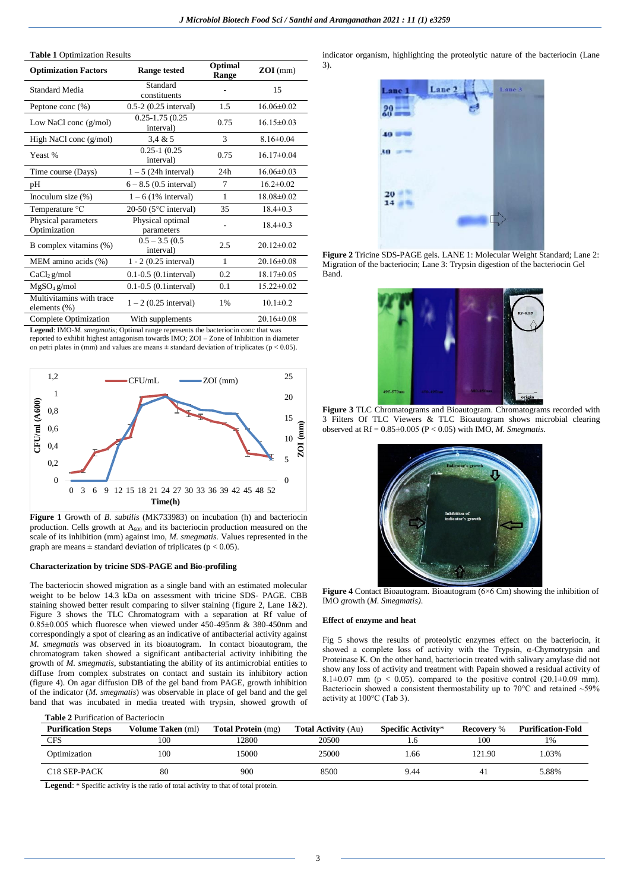#### **Table 1** Optimization Results

| <b>Range tested</b>              | Optimal<br>Range | $ZOI$ (mm)       |
|----------------------------------|------------------|------------------|
| Standard<br>constituents         |                  | 15               |
| $0.5-2$ $(0.25$ interval)        | 1.5              | $16.06\pm0.02$   |
| $0.25 - 1.75(0.25)$<br>interval) | 0.75             | $16.15 \pm 0.03$ |
| 3.4 & 5                          | 3                | $8.16 \pm 0.04$  |
| $0.25 - 1$ $(0.25)$<br>interval) | 0.75             | $16.17\pm0.04$   |
| $1 - 5$ (24h interval)           | 24h              | $16.06\pm0.03$   |
| $6 - 8.5$ (0.5 interval)         | 7                | $16.2 \pm 0.02$  |
| $1-6$ (1% interval)              | $\mathbf{1}$     | $18.08 \pm 0.02$ |
| 20-50 ( $5^{\circ}$ C interval)  | 35               | $18.4 \pm 0.3$   |
| Physical optimal<br>parameters   |                  | $18.4 \pm 0.3$   |
| $0.5 - 3.5(0.5)$<br>interval)    | 2.5              | $20.12\pm0.02$   |
| $1 - 2$ (0.25 interval)          | $\mathbf{1}$     | $20.16 \pm 0.08$ |
| $0.1 - 0.5$ (0.1 interval)       | 0.2              | $18.17 \pm 0.05$ |
| $0.1 - 0.5$ (0.1 interval)       | 0.1              | $15.22 \pm 0.02$ |
| $1 - 2$ (0.25 interval)          | 1%               | $10.1 \pm 0.2$   |
| With supplements                 |                  | $20.16\pm0.08$   |
|                                  |                  |                  |

**Legend**: IMO-*M. smegmatis*; Optimal range represents the bacteriocin conc that was reported to exhibit highest antagonism towards IMO; ZOI – Zone of Inhibition in diameter on petri plates in (mm) and values are means  $\pm$  standard deviation of triplicates (p < 0.05).



**Figure 1** Growth of *B. subtilis* (MK733983) on incubation (h) and bacteriocin production. Cells growth at A<sub>600</sub> and its bacteriocin production measured on the scale of its inhibition (mm) against imo, *M. smegmatis.* Values represented in the graph are means  $\pm$  standard deviation of triplicates ( $p < 0.05$ ).

#### **Characterization by tricine SDS-PAGE and Bio-profiling**

The bacteriocin showed migration as a single band with an estimated molecular weight to be below 14.3 kDa on assessment with tricine SDS- PAGE. CBB staining showed better result comparing to silver staining (figure 2, Lane 1&2). Figure 3 shows the TLC Chromatogram with a separation at Rf value of 0.85±0.005 which fluoresce when viewed under 450-495nm & 380-450nm and correspondingly a spot of clearing as an indicative of antibacterial activity against *M. smegmatis* was observed in its bioautogram. In contact bioautogram, the chromatogram taken showed a significant antibacterial activity inhibiting the growth of *M. smegmatis*, substantiating the ability of its antimicrobial entities to diffuse from complex substrates on contact and sustain its inhibitory action (figure 4). On agar diffusion DB of the gel band from PAGE, growth inhibition of the indicator (*M. smegmatis*) was observable in place of gel band and the gel band that was incubated in media treated with trypsin, showed growth of

#### **Table 2** Purification of Bacteriocin

| <b>Purification Steps</b> | Volume Taken (ml) | <b>Total Protein</b> (mg) | <b>Total Activity (Au)</b> | <b>Specific Activity*</b> | <b>Recovery</b> % | <b>Purification-Fold</b> |
|---------------------------|-------------------|---------------------------|----------------------------|---------------------------|-------------------|--------------------------|
| <b>CFS</b>                | 100               | 12800                     | 20500                      |                           | 100               | 1%                       |
| Optimization              | 100               | 15000                     | 25000                      | . 66                      | 121.90            | .03%                     |
| C <sub>18</sub> SEP-PACK  | 80                | 900                       | 8500                       | 9.44                      | 41                | 5.88%                    |

**Legend**: \* Specific activity is the ratio of total activity to that of total protein.

indicator organism, highlighting the proteolytic nature of the bacteriocin (Lane 3).



**Figure 2** Tricine SDS-PAGE gels. LANE 1: Molecular Weight Standard; Lane 2: Migration of the bacteriocin; Lane 3: Trypsin digestion of the bacteriocin Gel Band.



**Figure 3** TLC Chromatograms and Bioautogram. Chromatograms recorded with 3 Filters Of TLC Viewers & TLC Bioautogram shows microbial clearing observed at Rf = 0.85±0.005 (P < 0.05) with IMO, *M. Smegmatis.*



**Figure 4** Contact Bioautogram. Bioautogram (6×6 Cm) showing the inhibition of IMO *g*rowth (*M. Smegmatis)*.

#### **Effect of enzyme and heat**

Fig 5 shows the results of proteolytic enzymes effect on the bacteriocin, it showed a complete loss of activity with the Trypsin, α-Chymotrypsin and Proteinase K. On the other hand, bacteriocin treated with salivary amylase did not show any loss of activity and treatment with Papain showed a residual activity of 8.1 $\pm$ 0.07 mm (p < 0.05). compared to the positive control (20.1 $\pm$ 0.09 mm). Bacteriocin showed a consistent thermostability up to 70°C and retained ~59% activity at 100°C (Tab 3).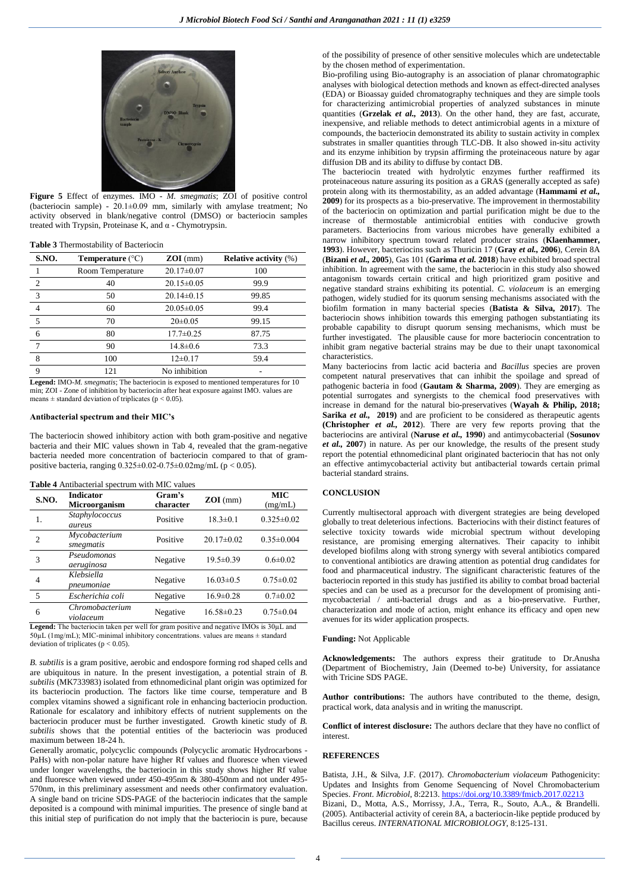

**Figure 5** Effect of enzymes. IMO - *M. smegmatis*; ZOI of positive control (bacteriocin sample) -  $20.1 \pm 0.09$  mm, similarly with amylase treatment; No activity observed in blank/negative control (DMSO) or bacteriocin samples treated with Trypsin, Proteinase K, and α - Chymotrypsin.

#### **Table 3** Thermostability of Bacteriocin

| <b>S.NO.</b>   | <b>Temperature</b> $(^{\circ}C)$ | $ZOI$ (mm)       | <b>Relative activity (%)</b> |
|----------------|----------------------------------|------------------|------------------------------|
|                | Room Temperature                 | $20.17 \pm 0.07$ | 100                          |
| $\overline{c}$ | 40                               | $20.15 \pm 0.05$ | 99.9                         |
| 3              | 50                               | $20.14 \pm 0.15$ | 99.85                        |
| 4              | 60                               | $20.05 \pm 0.05$ | 99.4                         |
| 5              | 70                               | $20 \pm 0.05$    | 99.15                        |
| 6              | 80                               | $17.7 \pm 0.25$  | 87.75                        |
|                | 90                               | $14.8 \pm 0.6$   | 73.3                         |
| 8              | 100                              | $12\pm0.17$      | 59.4                         |
| Q              | 121                              | No inhibition    |                              |

**Legend:** IMO-*M. smegmatis*; The bacteriocin is exposed to mentioned temperatures for 10 min; ZOI - Zone of inhibition by bacteriocin after heat exposure against IMO*.* values are means  $\pm$  standard deviation of triplicates ( $p < 0.05$ ).

#### **Antibacterial spectrum and their MIC's**

The bacteriocin showed inhibitory action with both gram-positive and negative bacteria and their MIC values shown in Tab 4, revealed that the gram-negative bacteria needed more concentration of bacteriocin compared to that of grampositive bacteria, ranging 0.325±0.02-0.75±0.02mg/mL (p < 0.05).

| Table 4 Antibacterial spectrum with MIC values |  |  |  |  |
|------------------------------------------------|--|--|--|--|
|------------------------------------------------|--|--|--|--|

| <b>Microorganism</b>         | Gram's<br>character | $ZOI$ (mm)            | <b>MIC</b><br>(mg/mL)                                                                |
|------------------------------|---------------------|-----------------------|--------------------------------------------------------------------------------------|
| Staphylococcus<br>aureus     | Positive            | $18.3 \pm 0.1$        | $0.325 \pm 0.02$                                                                     |
| Mycobacterium<br>smegmatis   | Positive            | $20.17 \pm 0.02$      | $0.35 \pm 0.004$                                                                     |
| Pseudomonas<br>aeruginosa    | Negative            | $19.5 \pm 0.39$       | $0.6 \pm 0.02$                                                                       |
| Klebsiella<br>pneumoniae     | Negative            | $16.03 \pm 0.5$       | $0.75 \pm 0.02$                                                                      |
| Escherichia coli             | Negative            | $16.9 \pm 0.28$       | $0.7 + 0.02$                                                                         |
| Chromobacterium<br>violaceum | Negative            | $16.58 \pm 0.23$      | $0.75 \pm 0.04$                                                                      |
|                              | .<br>COL.           | $\ddotsc$<br>$\cdots$ | $\mathbf{r}$ and $\mathbf{r}$ and $\mathbf{r}$<br>$P(A \cap Y) = P(A \cap Y) = P(A)$ |

**Legend:** The bacteriocin taken per well for gram positive and negative IMOs is  $30\mu$ L and  $50\mu$ L (1mg/mL); MIC-minimal inhibitory concentrations. values are means  $\pm$  standard deviation of triplicates ( $p < 0.05$ ).

*B. subtilis* is a gram positive, aerobic and endospore forming rod shaped cells and are ubiquitous in nature. In the present investigation, a potential strain of *B. subtilis* (MK733983) isolated from ethnomedicinal plant origin was optimized for its bacteriocin production. The factors like time course, temperature and B complex vitamins showed a significant role in enhancing bacteriocin production. Rationale for escalatory and inhibitory effects of nutrient supplements on the bacteriocin producer must be further investigated. Growth kinetic study of *B. subtilis* shows that the potential entities of the bacteriocin was produced maximum between 18-24 h.

Generally aromatic, polycyclic compounds (Polycyclic aromatic Hydrocarbons - PaHs) with non-polar nature have higher Rf values and fluoresce when viewed under longer wavelengths, the bacteriocin in this study shows higher Rf value and fluoresce when viewed under 450-495nm & 380-450nm and not under 495- 570nm, in this preliminary assessment and needs other confirmatory evaluation. A single band on tricine SDS-PAGE of the bacteriocin indicates that the sample deposited is a compound with minimal impurities. The presence of single band at this initial step of purification do not imply that the bacteriocin is pure, because

of the possibility of presence of other sensitive molecules which are undetectable by the chosen method of experimentation.

Bio-profiling using Bio-autography is an association of planar chromatographic analyses with biological detection methods and known as effect-directed analyses (EDA) or Bioassay guided chromatography techniques and they are simple tools for characterizing antimicrobial properties of analyzed substances in minute quantities (**Grzelak** *et al.,* **2013**). On the other hand, they are fast, accurate, inexpensive, and reliable methods to detect antimicrobial agents in a mixture of compounds, the bacteriocin demonstrated its ability to sustain activity in complex substrates in smaller quantities through TLC-DB. It also showed in-situ activity and its enzyme inhibition by trypsin affirming the proteinaceous nature by agar diffusion DB and its ability to diffuse by contact DB.

The bacteriocin treated with hydrolytic enzymes further reaffirmed its proteinaceous nature assuring its position as a GRAS (generally accepted as safe) protein along with its thermostability, as an added advantage (**Hammami** *et al.,*  **2009**) for its prospects as a bio-preservative. The improvement in thermostability of the bacteriocin on optimization and partial purification might be due to the increase of thermostable antimicrobial entities with conducive growth parameters. Bacteriocins from various microbes have generally exhibited a narrow inhibitory spectrum toward related producer strains (**Klaenhammer, 1993**). However, bacteriocins such as Thuricin 17 (**Gray** *et al.,* **2006**), Cerein 8A (**Bizani** *et al.,* **2005**), Gas 101 (**Garima** *et al.* **2018**) have exhibited broad spectral inhibition. In agreement with the same, the bacteriocin in this study also showed antagonism towards certain critical and high prioritized gram positive and negative standard strains exhibiting its potential. *C. violaceum* is an emerging pathogen, widely studied for its quorum sensing mechanisms associated with the biofilm formation in many bacterial species (**Batista & Silva, 2017**). The bacteriocin shows inhibition towards this emerging pathogen substantiating its probable capability to disrupt quorum sensing mechanisms, which must be further investigated. The plausible cause for more bacteriocin concentration to inhibit gram negative bacterial strains may be due to their unapt taxonomical characteristics.

Many bacteriocins from lactic acid bacteria and *Bacillus* species are proven competent natural preservatives that can inhibit the spoilage and spread of pathogenic bacteria in food (**Gautam & Sharma, 2009**). They are emerging as potential surrogates and synergists to the chemical food preservatives with increase in demand for the natural bio-preservatives (**Wayah & Philip, 2018; Sarika** *et al.*, **2019**) and are proficient to be considered as therapeutic agents **(Christopher** *et al.,* **2012**). There are very few reports proving that the bacteriocins are antiviral (**Naruse** *et al.,* **1990**) and antimycobacterial (**Sosunov**  *et al.,* **2007**) in nature. As per our knowledge, the results of the present study report the potential ethnomedicinal plant originated bacteriocin that has not only an effective antimycobacterial activity but antibacterial towards certain primal bacterial standard strains.

## **CONCLUSION**

Currently multisectoral approach with divergent strategies are being developed globally to treat deleterious infections. Bacteriocins with their distinct features of selective toxicity towards wide microbial spectrum without developing resistance, are promising emerging alternatives. Their capacity to inhibit developed biofilms along with strong synergy with several antibiotics compared to conventional antibiotics are drawing attention as potential drug candidates for food and pharmaceutical industry. The significant characteristic features of the bacteriocin reported in this study has justified its ability to combat broad bacterial species and can be used as a precursor for the development of promising antimycobacterial / anti-bacterial drugs and as a bio-preservative. Further, characterization and mode of action, might enhance its efficacy and open new avenues for its wider application prospects.

#### **Funding:** Not Applicable

**Acknowledgements:** The authors express their gratitude to Dr.Anusha (Department of Biochemistry, Jain (Deemed to-be) University, for assiatance with Tricine SDS PAGE.

**Author contributions:** The authors have contributed to the theme, design, practical work, data analysis and in writing the manuscript.

**Conflict of interest disclosure:** The authors declare that they have no conflict of interest.

### **REFERENCES**

Batista, J.H., & Silva, J.F. (2017). *Chromobacterium violaceum* Pathogenicity: Updates and Insights from Genome Sequencing of Novel Chromobacterium Species. *Front. Microbiol*, 8:2213. <https://doi.org/10.3389/fmicb.2017.02213> Bizani, D., Motta, A.S., Morrissy, J.A., Terra, R., Souto, A.A., & Brandelli. (2005). Antibacterial activity of cerein 8A, a bacteriocin-like peptide produced by Bacillus cereus. *INTERNATIONAL MICROBIOLOGY*, 8:125-131.